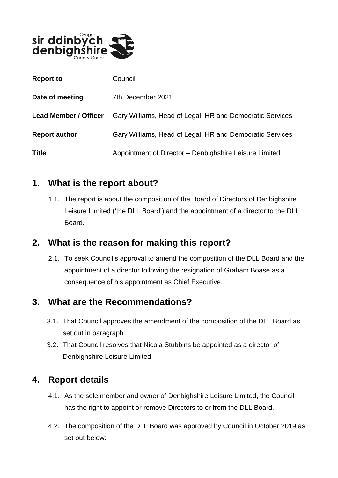

| <b>Report to</b>             | Council                                                  |
|------------------------------|----------------------------------------------------------|
| Date of meeting              | 7th December 2021                                        |
| <b>Lead Member / Officer</b> | Gary Williams, Head of Legal, HR and Democratic Services |
| <b>Report author</b>         | Gary Williams, Head of Legal, HR and Democratic Services |
| <b>Title</b>                 | Appointment of Director - Denbighshire Leisure Limited   |

#### **1. What is the report about?**

1.1. The report is about the composition of the Board of Directors of Denbighshire Leisure Limited ('the DLL Board') and the appointment of a director to the DLL Board.

### **2. What is the reason for making this report?**

2.1. To seek Council's approval to amend the composition of the DLL Board and the appointment of a director following the resignation of Graham Boase as a consequence of his appointment as Chief Executive.

# **3. What are the Recommendations?**

- 3.1. That Council approves the amendment of the composition of the DLL Board as set out in paragraph
- 3.2. That Council resolves that Nicola Stubbins be appointed as a director of Denbighshire Leisure Limited.

# **4. Report details**

- 4.1. As the sole member and owner of Denbighshire Leisure Limited, the Council has the right to appoint or remove Directors to or from the DLL Board.
- 4.2. The composition of the DLL Board was approved by Council in October 2019 as set out below: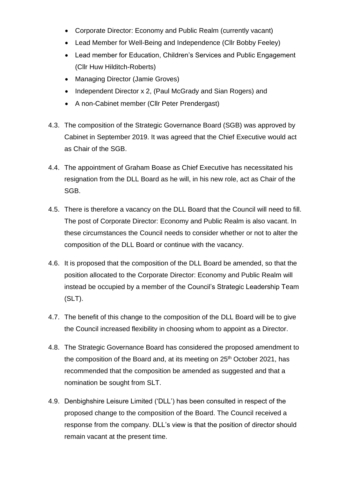- Corporate Director: Economy and Public Realm (currently vacant)
- Lead Member for Well-Being and Independence (Cllr Bobby Feeley)
- Lead member for Education, Children's Services and Public Engagement (Cllr Huw Hilditch-Roberts)
- Managing Director (Jamie Groves)
- Independent Director x 2, (Paul McGrady and Sian Rogers) and
- A non-Cabinet member (Cllr Peter Prendergast)
- 4.3. The composition of the Strategic Governance Board (SGB) was approved by Cabinet in September 2019. It was agreed that the Chief Executive would act as Chair of the SGB.
- 4.4. The appointment of Graham Boase as Chief Executive has necessitated his resignation from the DLL Board as he will, in his new role, act as Chair of the SGB.
- 4.5. There is therefore a vacancy on the DLL Board that the Council will need to fill. The post of Corporate Director: Economy and Public Realm is also vacant. In these circumstances the Council needs to consider whether or not to alter the composition of the DLL Board or continue with the vacancy.
- 4.6. It is proposed that the composition of the DLL Board be amended, so that the position allocated to the Corporate Director: Economy and Public Realm will instead be occupied by a member of the Council's Strategic Leadership Team (SLT).
- 4.7. The benefit of this change to the composition of the DLL Board will be to give the Council increased flexibility in choosing whom to appoint as a Director.
- 4.8. The Strategic Governance Board has considered the proposed amendment to the composition of the Board and, at its meeting on 25<sup>th</sup> October 2021, has recommended that the composition be amended as suggested and that a nomination be sought from SLT.
- 4.9. Denbighshire Leisure Limited ('DLL') has been consulted in respect of the proposed change to the composition of the Board. The Council received a response from the company. DLL's view is that the position of director should remain vacant at the present time.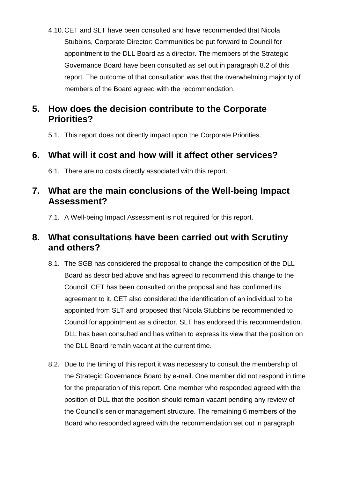4.10.CET and SLT have been consulted and have recommended that Nicola Stubbins, Corporate Director: Communities be put forward to Council for appointment to the DLL Board as a director. The members of the Strategic Governance Board have been consulted as set out in paragraph 8.2 of this report. The outcome of that consultation was that the overwhelming majority of members of the Board agreed with the recommendation.

### **5. How does the decision contribute to the Corporate Priorities?**

5.1. This report does not directly impact upon the Corporate Priorities.

# **6. What will it cost and how will it affect other services?**

6.1. There are no costs directly associated with this report.

#### **7. What are the main conclusions of the Well-being Impact Assessment?**

7.1. A Well-being Impact Assessment is not required for this report.

### **8. What consultations have been carried out with Scrutiny and others?**

- 8.1. The SGB has considered the proposal to change the composition of the DLL Board as described above and has agreed to recommend this change to the Council. CET has been consulted on the proposal and has confirmed its agreement to it. CET also considered the identification of an individual to be appointed from SLT and proposed that Nicola Stubbins be recommended to Council for appointment as a director. SLT has endorsed this recommendation. DLL has been consulted and has written to express its view that the position on the DLL Board remain vacant at the current time.
- 8.2. Due to the timing of this report it was necessary to consult the membership of the Strategic Governance Board by e-mail. One member did not respond in time for the preparation of this report. One member who responded agreed with the position of DLL that the position should remain vacant pending any review of the Council's senior management structure. The remaining 6 members of the Board who responded agreed with the recommendation set out in paragraph